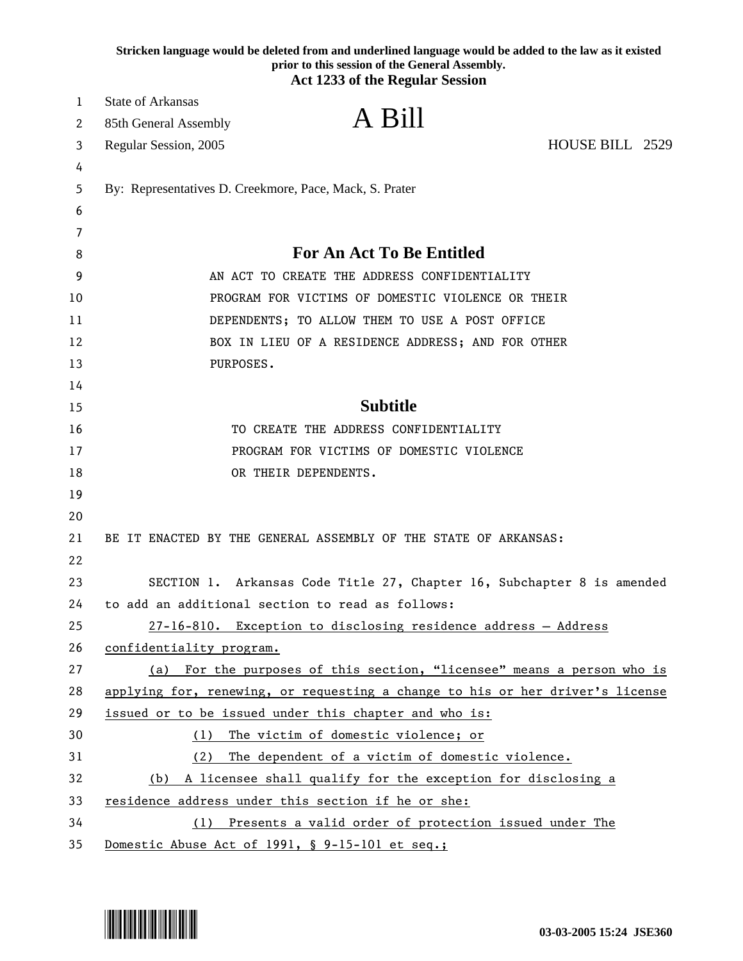|    | Stricken language would be deleted from and underlined language would be added to the law as it existed<br>prior to this session of the General Assembly.<br><b>Act 1233 of the Regular Session</b> |
|----|-----------------------------------------------------------------------------------------------------------------------------------------------------------------------------------------------------|
| 1  | <b>State of Arkansas</b>                                                                                                                                                                            |
| 2  | A Bill<br>85th General Assembly                                                                                                                                                                     |
| 3  | HOUSE BILL 2529<br>Regular Session, 2005                                                                                                                                                            |
| 4  |                                                                                                                                                                                                     |
| 5  | By: Representatives D. Creekmore, Pace, Mack, S. Prater                                                                                                                                             |
| 6  |                                                                                                                                                                                                     |
| 7  |                                                                                                                                                                                                     |
| 8  | <b>For An Act To Be Entitled</b>                                                                                                                                                                    |
| 9  | AN ACT TO CREATE THE ADDRESS CONFIDENTIALITY                                                                                                                                                        |
| 10 | PROGRAM FOR VICTIMS OF DOMESTIC VIOLENCE OR THEIR                                                                                                                                                   |
| 11 | DEPENDENTS; TO ALLOW THEM TO USE A POST OFFICE                                                                                                                                                      |
| 12 | BOX IN LIEU OF A RESIDENCE ADDRESS; AND FOR OTHER                                                                                                                                                   |
| 13 | PURPOSES.                                                                                                                                                                                           |
| 14 |                                                                                                                                                                                                     |
| 15 | <b>Subtitle</b>                                                                                                                                                                                     |
| 16 | TO CREATE THE ADDRESS CONFIDENTIALITY                                                                                                                                                               |
| 17 | PROGRAM FOR VICTIMS OF DOMESTIC VIOLENCE                                                                                                                                                            |
| 18 | OR THEIR DEPENDENTS.                                                                                                                                                                                |
| 19 |                                                                                                                                                                                                     |
| 20 |                                                                                                                                                                                                     |
| 21 | BE IT ENACTED BY THE GENERAL ASSEMBLY OF THE STATE OF ARKANSAS:                                                                                                                                     |
| 22 |                                                                                                                                                                                                     |
| 23 | SECTION 1. Arkansas Code Title 27, Chapter 16, Subchapter 8 is amended                                                                                                                              |
| 24 | to add an additional section to read as follows:                                                                                                                                                    |
| 25 | 27-16-810. Exception to disclosing residence address - Address                                                                                                                                      |
| 26 | confidentiality program.                                                                                                                                                                            |
| 27 | (a) For the purposes of this section, "licensee" means a person who is                                                                                                                              |
| 28 | applying for, renewing, or requesting a change to his or her driver's license                                                                                                                       |
| 29 | issued or to be issued under this chapter and who is:                                                                                                                                               |
| 30 | The victim of domestic violence; or<br>(1)                                                                                                                                                          |
| 31 | The dependent of a victim of domestic violence.<br>(2)                                                                                                                                              |
| 32 | (b) A licensee shall qualify for the exception for disclosing a                                                                                                                                     |
| 33 | residence address under this section if he or she:                                                                                                                                                  |
| 34 | (1) Presents a valid order of protection issued under The                                                                                                                                           |
| 35 | Domestic Abuse Act of 1991, § 9-15-101 et seq.;                                                                                                                                                     |

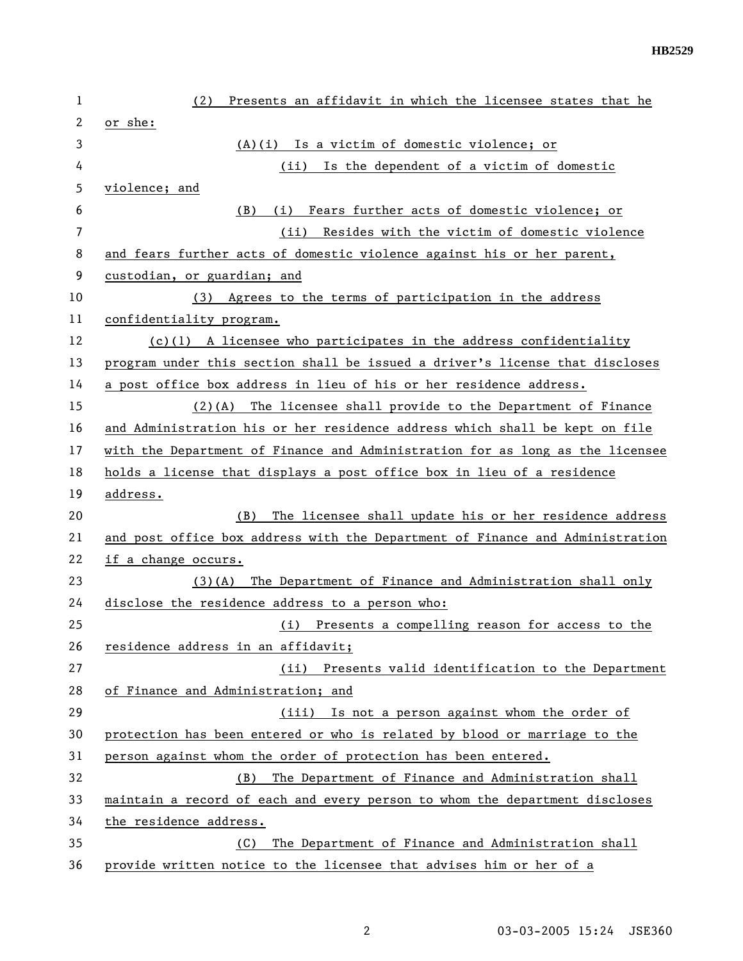| 1  | Presents an affidavit in which the licensee states that he<br>(2)             |
|----|-------------------------------------------------------------------------------|
| 2  | or she:                                                                       |
| 3  | (A)(i) Is a victim of domestic violence; or                                   |
| 4  | Is the dependent of a victim of domestic<br>(ii)                              |
| 5  | violence; and                                                                 |
| 6  | (i) Fears further acts of domestic violence; or<br>(B)                        |
| 7  | (ii) Resides with the victim of domestic violence                             |
| 8  | and fears further acts of domestic violence against his or her parent,        |
| 9  | custodian, or guardian; and                                                   |
| 10 | (3) Agrees to the terms of participation in the address                       |
| 11 | confidentiality program.                                                      |
| 12 | $(c)(1)$ A licensee who participates in the address confidentiality           |
| 13 | program under this section shall be issued a driver's license that discloses  |
| 14 | a post office box address in lieu of his or her residence address.            |
| 15 | $(2)(A)$ The licensee shall provide to the Department of Finance              |
| 16 | and Administration his or her residence address which shall be kept on file   |
| 17 | with the Department of Finance and Administration for as long as the licensee |
| 18 | holds a license that displays a post office box in lieu of a residence        |
| 19 | address.                                                                      |
| 20 | The licensee shall update his or her residence address<br>(B)                 |
| 21 | and post office box address with the Department of Finance and Administration |
| 22 | if a change occurs.                                                           |
| 23 | The Department of Finance and Administration shall only<br>(3)(A)             |
| 24 | disclose the residence address to a person who:                               |
| 25 | (i) Presents a compelling reason for access to the                            |
| 26 | residence address in an affidavit;                                            |
| 27 | (ii) Presents valid identification to the Department                          |
| 28 | of Finance and Administration; and                                            |
| 29 | (iii) Is not a person against whom the order of                               |
| 30 | protection has been entered or who is related by blood or marriage to the     |
| 31 | person against whom the order of protection has been entered.                 |
| 32 | The Department of Finance and Administration shall<br>(B)                     |
| 33 | maintain a record of each and every person to whom the department discloses   |
| 34 | the residence address.                                                        |
| 35 | The Department of Finance and Administration shall<br>(C)                     |
| 36 | provide written notice to the licensee that advises him or her of a           |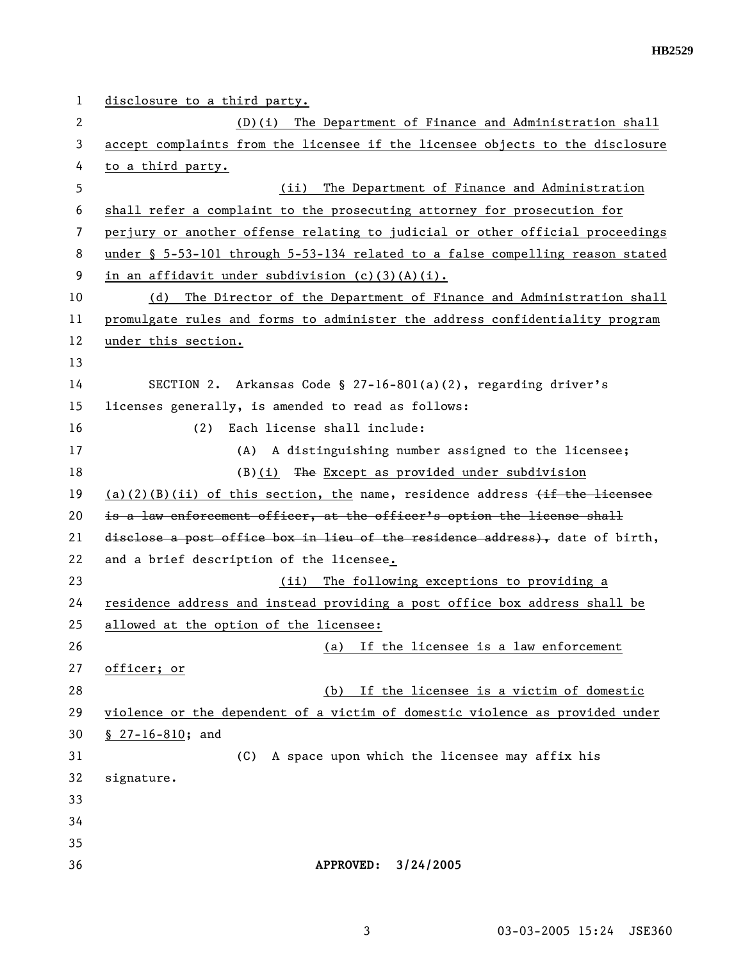1 disclosure to a third party. 2 (D)(i) The Department of Finance and Administration shall 3 accept complaints from the licensee if the licensee objects to the disclosure 4 to a third party. 5 (ii) The Department of Finance and Administration 6 shall refer a complaint to the prosecuting attorney for prosecution for 7 perjury or another offense relating to judicial or other official proceedings 8 under § 5-53-101 through 5-53-134 related to a false compelling reason stated 9 in an affidavit under subdivision (c)(3)(A)(i). 10 (d) The Director of the Department of Finance and Administration shall 11 promulgate rules and forms to administer the address confidentiality program 12 under this section. 13 14 SECTION 2. Arkansas Code § 27-16-801(a)(2), regarding driver's 15 licenses generally, is amended to read as follows: 16 (2) Each license shall include: 17 (A) A distinguishing number assigned to the licensee; 18 (B)(i) The Except as provided under subdivision 19 (a)(2)(B)(ii) of this section, the name, residence address  $\overline{if}$  the licensee 20 is a law enforcement officer, at the officer's option the license shall 21 disclose a post office box in lieu of the residence address), date of birth, 22 and a brief description of the licensee. 23 (ii) The following exceptions to providing a 24 residence address and instead providing a post office box address shall be 25 allowed at the option of the licensee: 26 (a) If the licensee is a law enforcement 27 officer; or 28 (b) If the licensee is a victim of domestic 29 violence or the dependent of a victim of domestic violence as provided under 30 § 27-16-810; and 31 (C) A space upon which the licensee may affix his 32 signature. 33 34 35 36 **APPROVED: 3/24/2005**